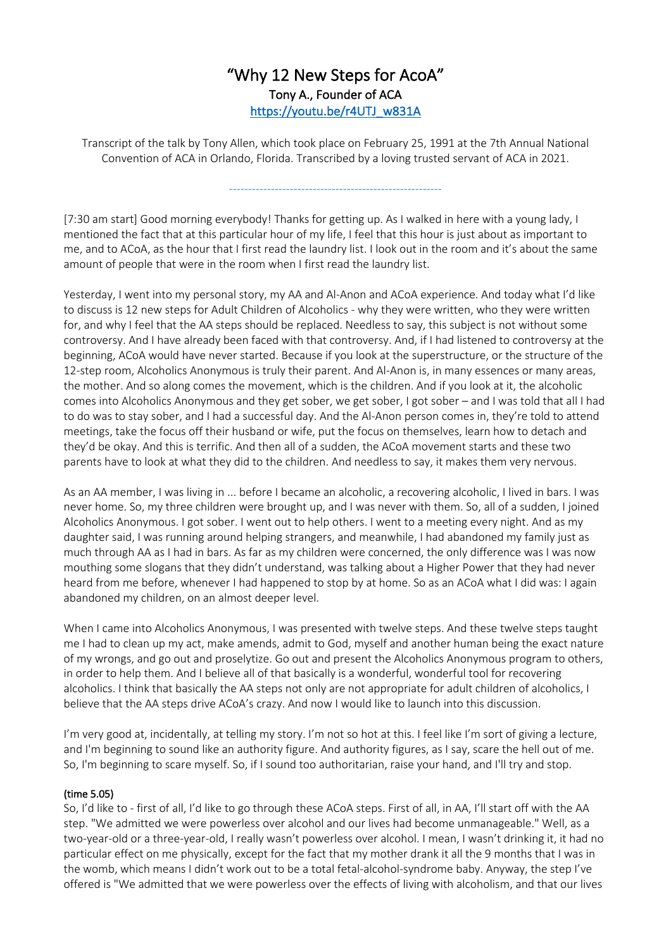# "Why 12 New Steps for AcoA" Tony A., Founder of ACA https://youtu.be/r4UTJ\_w831A

Transcript of the talk by Tony Allen, which took place on February 25, 1991 at the 7th Annual National Convention of ACA in Orlando, Florida. Transcribed by a loving trusted servant of ACA in 2021.

--------------------------------------------------------

[7:30 am start] Good morning everybody! Thanks for getting up. As I walked in here with a young lady, I mentioned the fact that at this particular hour of my life, I feel that this hour is just about as important to me, and to ACoA, as the hour that I first read the laundry list. I look out in the room and it's about the same

amount of people that were in the room when I first read the laundry list.

Yesterday, I went into my personal story, my AA and Al-Anon and ACoA experience. And today what I'd like to discuss is 12 new steps for Adult Children of Alcoholics - why they were written, who they were written for, and why I feel that the AA steps should be replaced. Needless to say, this subject is not without some controversy. And I have already been faced with that controversy. And, if I had listened to controversy at the beginning, ACoA would have never started. Because if you look at the superstructure, or the structure of the 12-step room, Alcoholics Anonymous is truly their parent. And Al-Anon is, in many essences or many areas, the mother. And so along comes the movement, which is the children. And if you look at it, the alcoholic comes into Alcoholics Anonymous and they get sober, we get sober, I got sober – and I was told that all I had to do was to stay sober, and I had a successful day. And the Al-Anon person comes in, they're told to attend meetings, take the focus off their husband or wife, put the focus on themselves, learn how to detach and they'd be okay. And this is terrific. And then all of a sudden, the ACoA movement starts and these two parents have to look at what they did to the children. And needless to say, it makes them very nervous.

As an AA member, I was living in ... before I became an alcoholic, a recovering alcoholic, I lived in bars. I was never home. So, my three children were brought up, and I was never with them. So, all of a sudden, I joined Alcoholics Anonymous. I got sober. I went out to help others. I went to a meeting every night. And as my daughter said, I was running around helping strangers, and meanwhile, I had abandoned my family just as much through AA as I had in bars. As far as my children were concerned, the only difference was I was now mouthing some slogans that they didn't understand, was talking about a Higher Power that they had never heard from me before, whenever I had happened to stop by at home. So as an ACoA what I did was: I again abandoned my children, on an almost deeper level.

When I came into Alcoholics Anonymous, I was presented with twelve steps. And these twelve steps taught me I had to clean up my act, make amends, admit to God, myself and another human being the exact nature of my wrongs, and go out and proselytize. Go out and present the Alcoholics Anonymous program to others, in order to help them. And I believe all of that basically is a wonderful, wonderful tool for recovering alcoholics. I think that basically the AA steps not only are not appropriate for adult children of alcoholics, I believe that the AA steps drive ACoA's crazy. And now I would like to launch into this discussion.

I'm very good at, incidentally, at telling my story. I'm not so hot at this. I feel like I'm sort of giving a lecture, and I'm beginning to sound like an authority figure. And authority figures, as I say, scare the hell out of me. So, I'm beginning to scare myself. So, if I sound too authoritarian, raise your hand, and I'll try and stop.

# (time 5.05)

So, I'd like to - first of all, I'd like to go through these ACoA steps. First of all, in AA, I'll start off with the AA step. "We admitted we were powerless over alcohol and our lives had become unmanageable." Well, as a two-year-old or a three-year-old, I really wasn't powerless over alcohol. I mean, I wasn't drinking it, it had no particular effect on me physically, except for the fact that my mother drank it all the 9 months that I was in the womb, which means I didn't work out to be a total fetal-alcohol-syndrome baby. Anyway, the step I've offered is "We admitted that we were powerless over the effects of living with alcoholism, and that our lives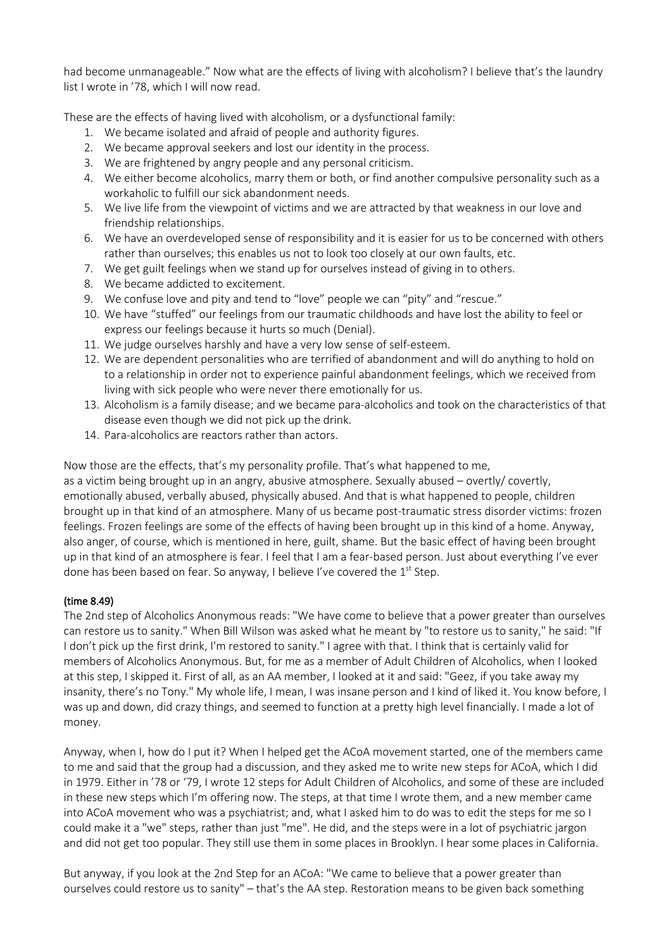had become unmanageable." Now what are the effects of living with alcoholism? I believe that's the laundry list I wrote in '78, which I will now read.

These are the effects of having lived with alcoholism, or a dysfunctional family:

- 1. We became isolated and afraid of people and authority figures.
- 2. We became approval seekers and lost our identity in the process.
- 3. We are frightened by angry people and any personal criticism.
- 4. We either become alcoholics, marry them or both, or find another compulsive personality such as a workaholic to fulfill our sick abandonment needs.
- 5. We live life from the viewpoint of victims and we are attracted by that weakness in our love and friendship relationships.
- 6. We have an overdeveloped sense of responsibility and it is easier for us to be concerned with others rather than ourselves; this enables us not to look too closely at our own faults, etc.
- 7. We get guilt feelings when we stand up for ourselves instead of giving in to others.
- 8. We became addicted to excitement.
- 9. We confuse love and pity and tend to "love" people we can "pity" and "rescue."
- 10. We have "stuffed" our feelings from our traumatic childhoods and have lost the ability to feel or express our feelings because it hurts so much (Denial).
- 11. We judge ourselves harshly and have a very low sense of self-esteem.
- 12. We are dependent personalities who are terrified of abandonment and will do anything to hold on to a relationship in order not to experience painful abandonment feelings, which we received from living with sick people who were never there emotionally for us.
- 13. Alcoholism is a family disease; and we became para-alcoholics and took on the characteristics of that disease even though we did not pick up the drink.
- 14. Para-alcoholics are reactors rather than actors.

Now those are the effects, that's my personality profile. That's what happened to me, as a victim being brought up in an angry, abusive atmosphere. Sexually abused – overtly/ covertly, emotionally abused, verbally abused, physically abused. And that is what happened to people, children brought up in that kind of an atmosphere. Many of us became post-traumatic stress disorder victims: frozen feelings. Frozen feelings are some of the effects of having been brought up in this kind of a home. Anyway, also anger, of course, which is mentioned in here, guilt, shame. But the basic effect of having been brought up in that kind of an atmosphere is fear. I feel that I am a fear-based person. Just about everything I've ever done has been based on fear. So anyway, I believe I've covered the 1<sup>st</sup> Step.

# (time 8.49)

The 2nd step of Alcoholics Anonymous reads: "We have come to believe that a power greater than ourselves can restore us to sanity." When Bill Wilson was asked what he meant by "to restore us to sanity," he said: "If I don't pick up the first drink, I'm restored to sanity." I agree with that. I think that is certainly valid for members of Alcoholics Anonymous. But, for me as a member of Adult Children of Alcoholics, when I looked at this step, I skipped it. First of all, as an AA member, I looked at it and said: "Geez, if you take away my insanity, there's no Tony." My whole life, I mean, I was insane person and I kind of liked it. You know before, I was up and down, did crazy things, and seemed to function at a pretty high level financially. I made a lot of money.

Anyway, when I, how do I put it? When I helped get the ACoA movement started, one of the members came to me and said that the group had a discussion, and they asked me to write new steps for ACoA, which I did in 1979. Either in '78 or '79, I wrote 12 steps for Adult Children of Alcoholics, and some of these are included in these new steps which I'm offering now. The steps, at that time I wrote them, and a new member came into ACoA movement who was a psychiatrist; and, what I asked him to do was to edit the steps for me so I could make it a "we" steps, rather than just "me". He did, and the steps were in a lot of psychiatric jargon and did not get too popular. They still use them in some places in Brooklyn. I hear some places in California.

But anyway, if you look at the 2nd Step for an ACoA: "We came to believe that a power greater than ourselves could restore us to sanity" – that's the AA step. Restoration means to be given back something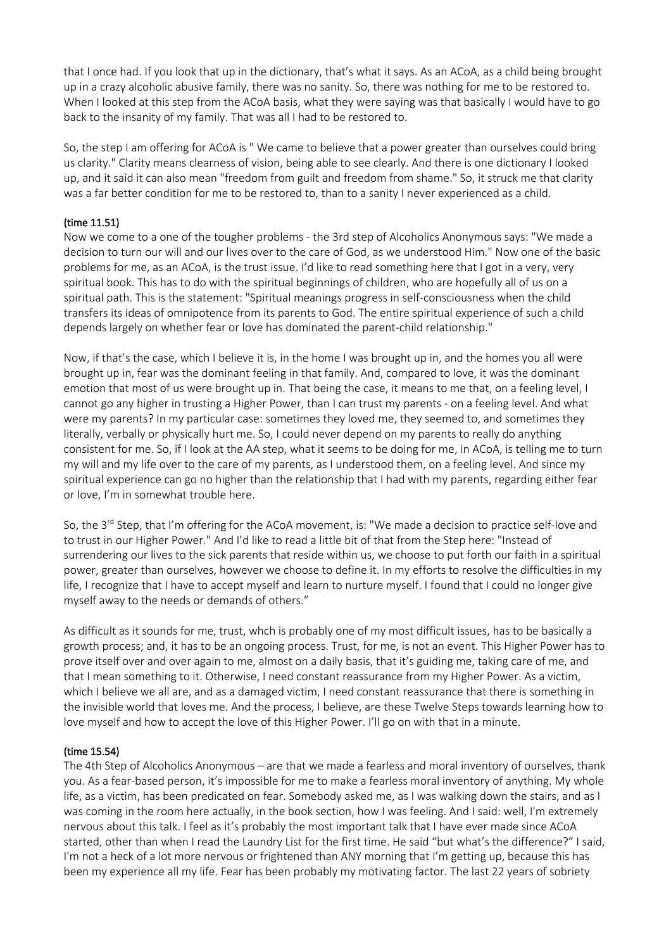that I once had. If you look that up in the dictionary, that's what it says. As an ACoA, as a child being brought up in a crazy alcoholic abusive family, there was no sanity. So, there was nothing for me to be restored to. When I looked at this step from the ACoA basis, what they were saying was that basically I would have to go back to the insanity of my family. That was all I had to be restored to.

So, the step I am offering for ACoA is " We came to believe that a power greater than ourselves could bring us clarity." Clarity means clearness of vision, being able to see clearly. And there is one dictionary I looked up, and it said it can also mean "freedom from guilt and freedom from shame." So, it struck me that clarity was a far better condition for me to be restored to, than to a sanity I never experienced as a child.

# (time 11.51)

Now we come to a one of the tougher problems - the 3rd step of Alcoholics Anonymous says: "We made a decision to turn our will and our lives over to the care of God, as we understood Him." Now one of the basic problems for me, as an ACoA, is the trust issue. I'd like to read something here that I got in a very, very spiritual book. This has to do with the spiritual beginnings of children, who are hopefully all of us on a spiritual path. This is the statement: "Spiritual meanings progress in self-consciousness when the child transfers its ideas of omnipotence from its parents to God. The entire spiritual experience of such a child depends largely on whether fear or love has dominated the parent-child relationship."

Now, if that's the case, which I believe it is, in the home I was brought up in, and the homes you all were brought up in, fear was the dominant feeling in that family. And, compared to love, it was the dominant emotion that most of us were brought up in. That being the case, it means to me that, on a feeling level, I cannot go any higher in trusting a Higher Power, than I can trust my parents - on a feeling level. And what were my parents? In my particular case: sometimes they loved me, they seemed to, and sometimes they literally, verbally or physically hurt me. So, I could never depend on my parents to really do anything consistent for me. So, if I look at the AA step, what it seems to be doing for me, in ACoA, is telling me to turn my will and my life over to the care of my parents, as I understood them, on a feeling level. And since my spiritual experience can go no higher than the relationship that I had with my parents, regarding either fear or love, I'm in somewhat trouble here.

So, the 3<sup>rd</sup> Step, that I'm offering for the ACoA movement, is: "We made a decision to practice self-love and to trust in our Higher Power." And I'd like to read a little bit of that from the Step here: "Instead of surrendering our lives to the sick parents that reside within us, we choose to put forth our faith in a spiritual power, greater than ourselves, however we choose to define it. In my efforts to resolve the difficulties in my life, I recognize that I have to accept myself and learn to nurture myself. I found that I could no longer give myself away to the needs or demands of others."

As difficult as it sounds for me, trust, whch is probably one of my most difficult issues, has to be basically a growth process; and, it has to be an ongoing process. Trust, for me, is not an event. This Higher Power has to prove itself over and over again to me, almost on a daily basis, that it's guiding me, taking care of me, and that I mean something to it. Otherwise, I need constant reassurance from my Higher Power. As a victim, which I believe we all are, and as a damaged victim, I need constant reassurance that there is something in the invisible world that loves me. And the process, I believe, are these Twelve Steps towards learning how to love myself and how to accept the love of this Higher Power. I'll go on with that in a minute.

#### (time 15.54)

The 4th Step of Alcoholics Anonymous – are that we made a fearless and moral inventory of ourselves, thank you. As a fear-based person, it's impossible for me to make a fearless moral inventory of anything. My whole life, as a victim, has been predicated on fear. Somebody asked me, as I was walking down the stairs, and as I was coming in the room here actually, in the book section, how I was feeling. And I said: well, I'm extremely nervous about this talk. I feel as it's probably the most important talk that I have ever made since ACoA started, other than when I read the Laundry List for the first time. He said "but what's the difference?" I said, I'm not a heck of a lot more nervous or frightened than ANY morning that I'm getting up, because this has been my experience all my life. Fear has been probably my motivating factor. The last 22 years of sobriety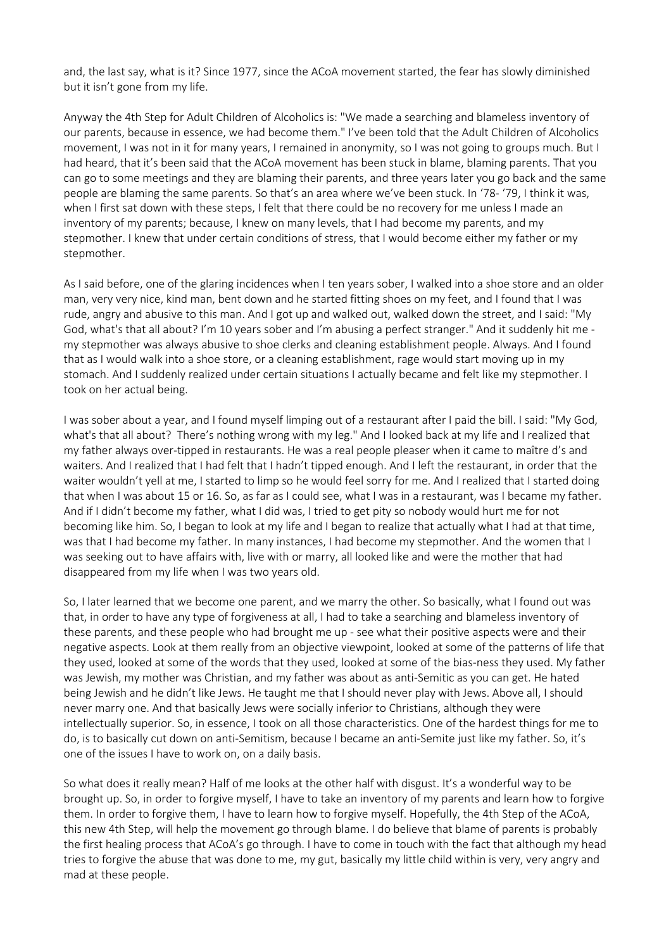and, the last say, what is it? Since 1977, since the ACoA movement started, the fear has slowly diminished but it isn't gone from my life.

Anyway the 4th Step for Adult Children of Alcoholics is: "We made a searching and blameless inventory of our parents, because in essence, we had become them." I've been told that the Adult Children of Alcoholics movement, I was not in it for many years, I remained in anonymity, so I was not going to groups much. But I had heard, that it's been said that the ACoA movement has been stuck in blame, blaming parents. That you can go to some meetings and they are blaming their parents, and three years later you go back and the same people are blaming the same parents. So that's an area where we've been stuck. In '78- '79, I think it was, when I first sat down with these steps, I felt that there could be no recovery for me unless I made an inventory of my parents; because, I knew on many levels, that I had become my parents, and my stepmother. I knew that under certain conditions of stress, that I would become either my father or my stepmother.

As I said before, one of the glaring incidences when I ten years sober, I walked into a shoe store and an older man, very very nice, kind man, bent down and he started fitting shoes on my feet, and I found that I was rude, angry and abusive to this man. And I got up and walked out, walked down the street, and I said: "My God, what's that all about? I'm 10 years sober and I'm abusing a perfect stranger." And it suddenly hit me my stepmother was always abusive to shoe clerks and cleaning establishment people. Always. And I found that as I would walk into a shoe store, or a cleaning establishment, rage would start moving up in my stomach. And I suddenly realized under certain situations I actually became and felt like my stepmother. I took on her actual being.

I was sober about a year, and I found myself limping out of a restaurant after I paid the bill. I said: "My God, what's that all about? There's nothing wrong with my leg." And I looked back at my life and I realized that my father always over-tipped in restaurants. He was a real people pleaser when it came to maître d's and waiters. And I realized that I had felt that I hadn't tipped enough. And I left the restaurant, in order that the waiter wouldn't yell at me, I started to limp so he would feel sorry for me. And I realized that I started doing that when I was about 15 or 16. So, as far as I could see, what I was in a restaurant, was I became my father. And if I didn't become my father, what I did was, I tried to get pity so nobody would hurt me for not becoming like him. So, I began to look at my life and I began to realize that actually what I had at that time, was that I had become my father. In many instances, I had become my stepmother. And the women that I was seeking out to have affairs with, live with or marry, all looked like and were the mother that had disappeared from my life when I was two years old.

So, I later learned that we become one parent, and we marry the other. So basically, what I found out was that, in order to have any type of forgiveness at all, I had to take a searching and blameless inventory of these parents, and these people who had brought me up - see what their positive aspects were and their negative aspects. Look at them really from an objective viewpoint, looked at some of the patterns of life that they used, looked at some of the words that they used, looked at some of the bias-ness they used. My father was Jewish, my mother was Christian, and my father was about as anti-Semitic as you can get. He hated being Jewish and he didn't like Jews. He taught me that I should never play with Jews. Above all, I should never marry one. And that basically Jews were socially inferior to Christians, although they were intellectually superior. So, in essence, I took on all those characteristics. One of the hardest things for me to do, is to basically cut down on anti-Semitism, because I became an anti-Semite just like my father. So, it's one of the issues I have to work on, on a daily basis.

So what does it really mean? Half of me looks at the other half with disgust. It's a wonderful way to be brought up. So, in order to forgive myself, I have to take an inventory of my parents and learn how to forgive them. In order to forgive them, I have to learn how to forgive myself. Hopefully, the 4th Step of the ACoA, this new 4th Step, will help the movement go through blame. I do believe that blame of parents is probably the first healing process that ACoA's go through. I have to come in touch with the fact that although my head tries to forgive the abuse that was done to me, my gut, basically my little child within is very, very angry and mad at these people.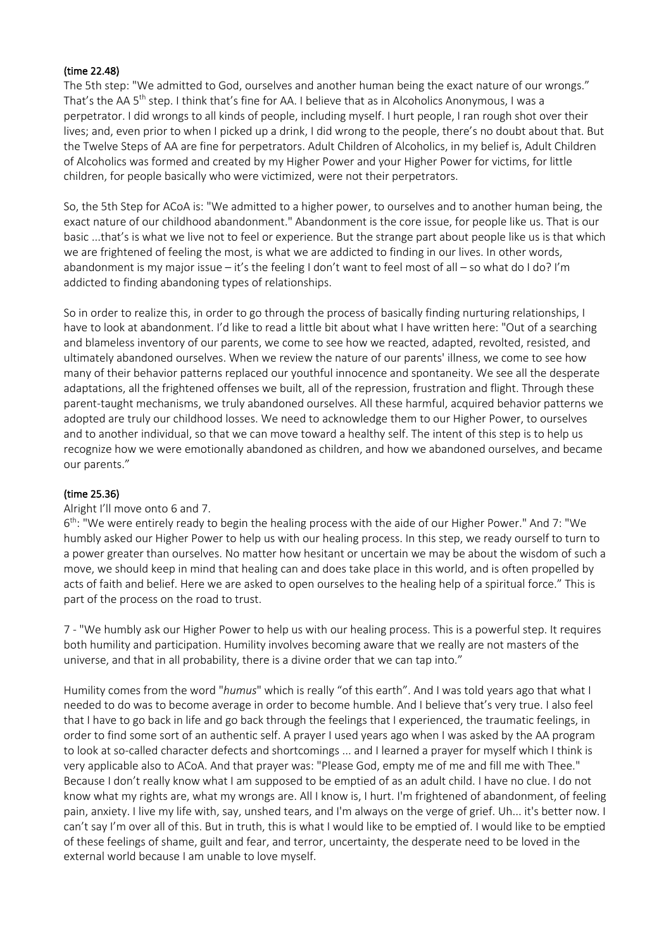#### (time 22.48)

The 5th step: "We admitted to God, ourselves and another human being the exact nature of our wrongs." That's the AA 5<sup>th</sup> step. I think that's fine for AA. I believe that as in Alcoholics Anonymous, I was a perpetrator. I did wrongs to all kinds of people, including myself. I hurt people, I ran rough shot over their lives; and, even prior to when I picked up a drink, I did wrong to the people, there's no doubt about that. But the Twelve Steps of AA are fine for perpetrators. Adult Children of Alcoholics, in my belief is, Adult Children of Alcoholics was formed and created by my Higher Power and your Higher Power for victims, for little children, for people basically who were victimized, were not their perpetrators.

So, the 5th Step for ACoA is: "We admitted to a higher power, to ourselves and to another human being, the exact nature of our childhood abandonment." Abandonment is the core issue, for people like us. That is our basic ...that's is what we live not to feel or experience. But the strange part about people like us is that which we are frightened of feeling the most, is what we are addicted to finding in our lives. In other words, abandonment is my major issue – it's the feeling I don't want to feel most of all – so what do I do? I'm addicted to finding abandoning types of relationships.

So in order to realize this, in order to go through the process of basically finding nurturing relationships, I have to look at abandonment. I'd like to read a little bit about what I have written here: "Out of a searching and blameless inventory of our parents, we come to see how we reacted, adapted, revolted, resisted, and ultimately abandoned ourselves. When we review the nature of our parents' illness, we come to see how many of their behavior patterns replaced our youthful innocence and spontaneity. We see all the desperate adaptations, all the frightened offenses we built, all of the repression, frustration and flight. Through these parent-taught mechanisms, we truly abandoned ourselves. All these harmful, acquired behavior patterns we adopted are truly our childhood losses. We need to acknowledge them to our Higher Power, to ourselves and to another individual, so that we can move toward a healthy self. The intent of this step is to help us recognize how we were emotionally abandoned as children, and how we abandoned ourselves, and became our parents."

#### (time 25.36)

#### Alright I'll move onto 6 and 7.

6<sup>th</sup>: "We were entirely ready to begin the healing process with the aide of our Higher Power." And 7: "We humbly asked our Higher Power to help us with our healing process. In this step, we ready ourself to turn to a power greater than ourselves. No matter how hesitant or uncertain we may be about the wisdom of such a move, we should keep in mind that healing can and does take place in this world, and is often propelled by acts of faith and belief. Here we are asked to open ourselves to the healing help of a spiritual force." This is part of the process on the road to trust.

7 - "We humbly ask our Higher Power to help us with our healing process. This is a powerful step. It requires both humility and participation. Humility involves becoming aware that we really are not masters of the universe, and that in all probability, there is a divine order that we can tap into."

Humility comes from the word "*humus*" which is really "of this earth". And I was told years ago that what I needed to do was to become average in order to become humble. And I believe that's very true. I also feel that I have to go back in life and go back through the feelings that I experienced, the traumatic feelings, in order to find some sort of an authentic self. A prayer I used years ago when I was asked by the AA program to look at so-called character defects and shortcomings ... and I learned a prayer for myself which I think is very applicable also to ACoA. And that prayer was: "Please God, empty me of me and fill me with Thee." Because I don't really know what I am supposed to be emptied of as an adult child. I have no clue. I do not know what my rights are, what my wrongs are. All I know is, I hurt. I'm frightened of abandonment, of feeling pain, anxiety. I live my life with, say, unshed tears, and I'm always on the verge of grief. Uh... it's better now. I can't say I'm over all of this. But in truth, this is what I would like to be emptied of. I would like to be emptied of these feelings of shame, guilt and fear, and terror, uncertainty, the desperate need to be loved in the external world because I am unable to love myself.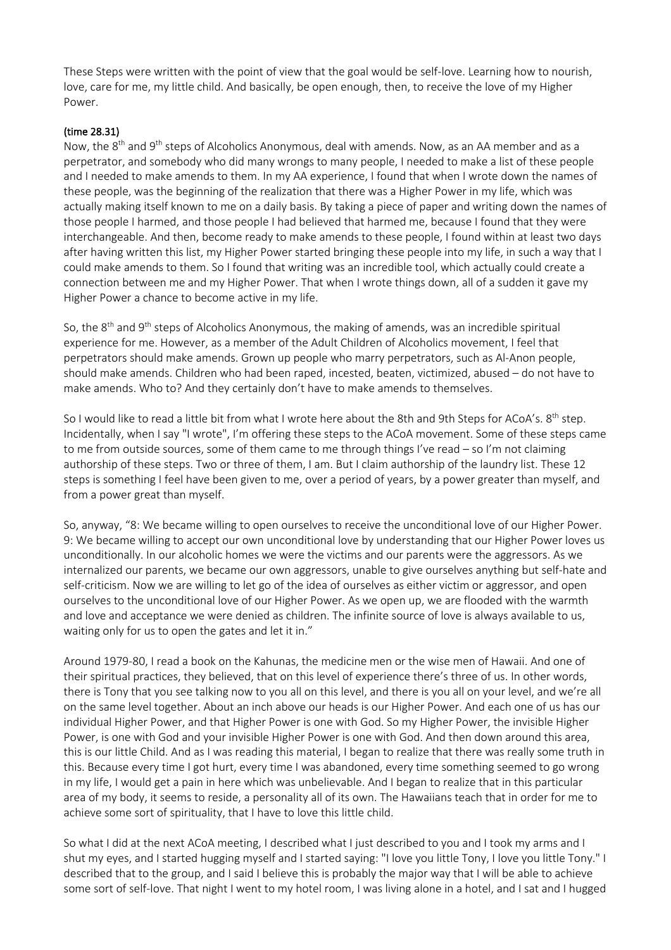These Steps were written with the point of view that the goal would be self-love. Learning how to nourish, love, care for me, my little child. And basically, be open enough, then, to receive the love of my Higher Power.

# (time 28.31)

Now, the 8<sup>th</sup> and 9<sup>th</sup> steps of Alcoholics Anonymous, deal with amends. Now, as an AA member and as a perpetrator, and somebody who did many wrongs to many people, I needed to make a list of these people and I needed to make amends to them. In my AA experience, I found that when I wrote down the names of these people, was the beginning of the realization that there was a Higher Power in my life, which was actually making itself known to me on a daily basis. By taking a piece of paper and writing down the names of those people I harmed, and those people I had believed that harmed me, because I found that they were interchangeable. And then, become ready to make amends to these people, I found within at least two days after having written this list, my Higher Power started bringing these people into my life, in such a way that I could make amends to them. So I found that writing was an incredible tool, which actually could create a connection between me and my Higher Power. That when I wrote things down, all of a sudden it gave my Higher Power a chance to become active in my life.

So, the  $8<sup>th</sup>$  and  $9<sup>th</sup>$  steps of Alcoholics Anonymous, the making of amends, was an incredible spiritual experience for me. However, as a member of the Adult Children of Alcoholics movement, I feel that perpetrators should make amends. Grown up people who marry perpetrators, such as Al-Anon people, should make amends. Children who had been raped, incested, beaten, victimized, abused – do not have to make amends. Who to? And they certainly don't have to make amends to themselves.

So I would like to read a little bit from what I wrote here about the 8th and 9th Steps for ACoA's. 8<sup>th</sup> step. Incidentally, when I say "I wrote", I'm offering these steps to the ACoA movement. Some of these steps came to me from outside sources, some of them came to me through things I've read – so I'm not claiming authorship of these steps. Two or three of them, I am. But I claim authorship of the laundry list. These 12 steps is something I feel have been given to me, over a period of years, by a power greater than myself, and from a power great than myself.

So, anyway, "8: We became willing to open ourselves to receive the unconditional love of our Higher Power. 9: We became willing to accept our own unconditional love by understanding that our Higher Power loves us unconditionally. In our alcoholic homes we were the victims and our parents were the aggressors. As we internalized our parents, we became our own aggressors, unable to give ourselves anything but self-hate and self-criticism. Now we are willing to let go of the idea of ourselves as either victim or aggressor, and open ourselves to the unconditional love of our Higher Power. As we open up, we are flooded with the warmth and love and acceptance we were denied as children. The infinite source of love is always available to us, waiting only for us to open the gates and let it in."

Around 1979-80, I read a book on the Kahunas, the medicine men or the wise men of Hawaii. And one of their spiritual practices, they believed, that on this level of experience there's three of us. In other words, there is Tony that you see talking now to you all on this level, and there is you all on your level, and we're all on the same level together. About an inch above our heads is our Higher Power. And each one of us has our individual Higher Power, and that Higher Power is one with God. So my Higher Power, the invisible Higher Power, is one with God and your invisible Higher Power is one with God. And then down around this area, this is our little Child. And as I was reading this material, I began to realize that there was really some truth in this. Because every time I got hurt, every time I was abandoned, every time something seemed to go wrong in my life, I would get a pain in here which was unbelievable. And I began to realize that in this particular area of my body, it seems to reside, a personality all of its own. The Hawaiians teach that in order for me to achieve some sort of spirituality, that I have to love this little child.

So what I did at the next ACoA meeting, I described what I just described to you and I took my arms and I shut my eyes, and I started hugging myself and I started saying: "I love you little Tony, I love you little Tony." I described that to the group, and I said I believe this is probably the major way that I will be able to achieve some sort of self-love. That night I went to my hotel room, I was living alone in a hotel, and I sat and I hugged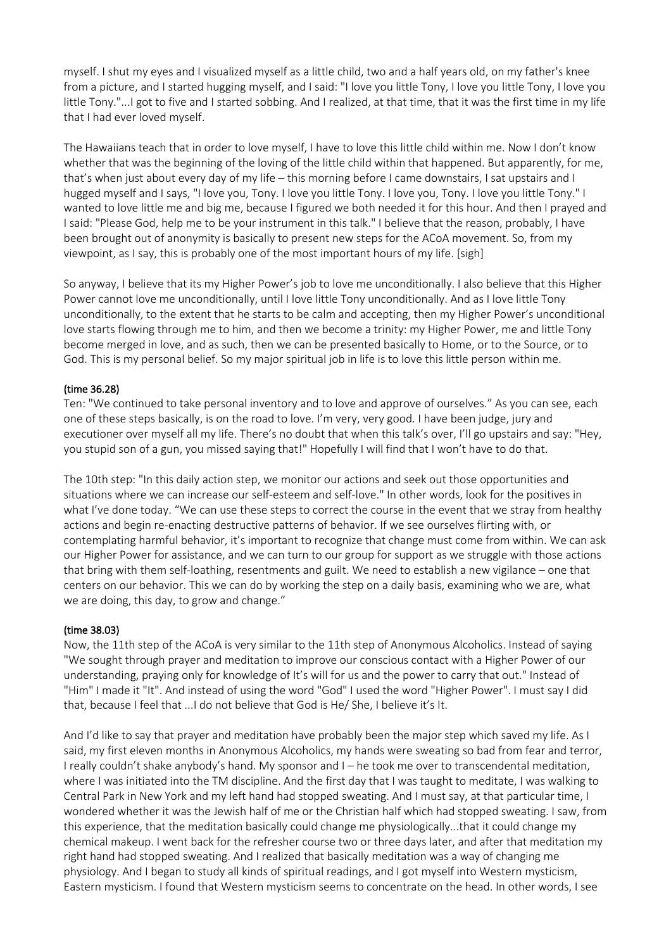myself. I shut my eyes and I visualized myself as a little child, two and a half years old, on my father's knee from a picture, and I started hugging myself, and I said: "I love you little Tony, I love you little Tony, I love you little Tony."...I got to five and I started sobbing. And I realized, at that time, that it was the first time in my life that I had ever loved myself.

The Hawaiians teach that in order to love myself, I have to love this little child within me. Now I don't know whether that was the beginning of the loving of the little child within that happened. But apparently, for me, that's when just about every day of my life – this morning before I came downstairs, I sat upstairs and I hugged myself and I says, "I love you, Tony. I love you little Tony. I love you, Tony. I love you little Tony." I wanted to love little me and big me, because I figured we both needed it for this hour. And then I prayed and I said: "Please God, help me to be your instrument in this talk." I believe that the reason, probably, I have been brought out of anonymity is basically to present new steps for the ACoA movement. So, from my viewpoint, as I say, this is probably one of the most important hours of my life. [sigh]

So anyway, I believe that its my Higher Power's job to love me unconditionally. I also believe that this Higher Power cannot love me unconditionally, until I love little Tony unconditionally. And as I love little Tony unconditionally, to the extent that he starts to be calm and accepting, then my Higher Power's unconditional love starts flowing through me to him, and then we become a trinity: my Higher Power, me and little Tony become merged in love, and as such, then we can be presented basically to Home, or to the Source, or to God. This is my personal belief. So my major spiritual job in life is to love this little person within me.

# (time 36.28)

Ten: "We continued to take personal inventory and to love and approve of ourselves." As you can see, each one of these steps basically, is on the road to love. I'm very, very good. I have been judge, jury and executioner over myself all my life. There's no doubt that when this talk's over, I'll go upstairs and say: "Hey, you stupid son of a gun, you missed saying that!" Hopefully I will find that I won't have to do that.

The 10th step: "In this daily action step, we monitor our actions and seek out those opportunities and situations where we can increase our self-esteem and self-love." In other words, look for the positives in what I've done today. "We can use these steps to correct the course in the event that we stray from healthy actions and begin re-enacting destructive patterns of behavior. If we see ourselves flirting with, or contemplating harmful behavior, it's important to recognize that change must come from within. We can ask our Higher Power for assistance, and we can turn to our group for support as we struggle with those actions that bring with them self-loathing, resentments and guilt. We need to establish a new vigilance – one that centers on our behavior. This we can do by working the step on a daily basis, examining who we are, what we are doing, this day, to grow and change."

#### (time 38.03)

Now, the 11th step of the ACoA is very similar to the 11th step of Anonymous Alcoholics. Instead of saying "We sought through prayer and meditation to improve our conscious contact with a Higher Power of our understanding, praying only for knowledge of It's will for us and the power to carry that out." Instead of "Him" I made it "It". And instead of using the word "God" I used the word "Higher Power". I must say I did that, because I feel that ...I do not believe that God is He/ She, I believe it's It.

And I'd like to say that prayer and meditation have probably been the major step which saved my life. As I said, my first eleven months in Anonymous Alcoholics, my hands were sweating so bad from fear and terror, I really couldn't shake anybody's hand. My sponsor and I – he took me over to transcendental meditation, where I was initiated into the TM discipline. And the first day that I was taught to meditate, I was walking to Central Park in New York and my left hand had stopped sweating. And I must say, at that particular time, I wondered whether it was the Jewish half of me or the Christian half which had stopped sweating. I saw, from this experience, that the meditation basically could change me physiologically...that it could change my chemical makeup. I went back for the refresher course two or three days later, and after that meditation my right hand had stopped sweating. And I realized that basically meditation was a way of changing me physiology. And I began to study all kinds of spiritual readings, and I got myself into Western mysticism, Eastern mysticism. I found that Western mysticism seems to concentrate on the head. In other words, I see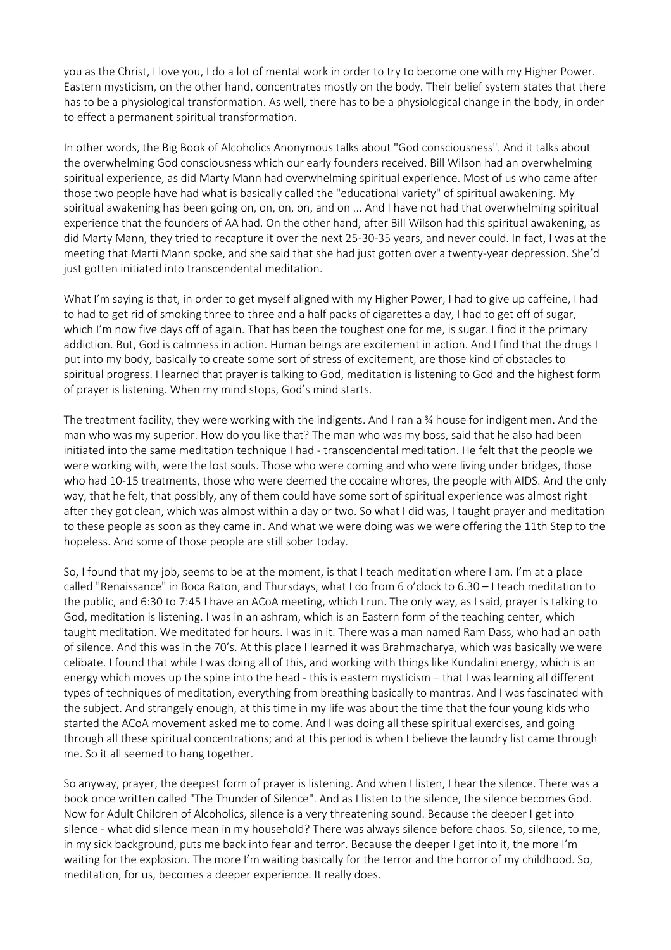you as the Christ, I love you, I do a lot of mental work in order to try to become one with my Higher Power. Eastern mysticism, on the other hand, concentrates mostly on the body. Their belief system states that there has to be a physiological transformation. As well, there has to be a physiological change in the body, in order to effect a permanent spiritual transformation.

In other words, the Big Book of Alcoholics Anonymous talks about "God consciousness". And it talks about the overwhelming God consciousness which our early founders received. Bill Wilson had an overwhelming spiritual experience, as did Marty Mann had overwhelming spiritual experience. Most of us who came after those two people have had what is basically called the "educational variety" of spiritual awakening. My spiritual awakening has been going on, on, on, on, and on ... And I have not had that overwhelming spiritual experience that the founders of AA had. On the other hand, after Bill Wilson had this spiritual awakening, as did Marty Mann, they tried to recapture it over the next 25-30-35 years, and never could. In fact, I was at the meeting that Marti Mann spoke, and she said that she had just gotten over a twenty-year depression. She'd just gotten initiated into transcendental meditation.

What I'm saying is that, in order to get myself aligned with my Higher Power, I had to give up caffeine, I had to had to get rid of smoking three to three and a half packs of cigarettes a day, I had to get off of sugar, which I'm now five days off of again. That has been the toughest one for me, is sugar. I find it the primary addiction. But, God is calmness in action. Human beings are excitement in action. And I find that the drugs I put into my body, basically to create some sort of stress of excitement, are those kind of obstacles to spiritual progress. I learned that prayer is talking to God, meditation is listening to God and the highest form of prayer is listening. When my mind stops, God's mind starts.

The treatment facility, they were working with the indigents. And I ran a ¾ house for indigent men. And the man who was my superior. How do you like that? The man who was my boss, said that he also had been initiated into the same meditation technique I had - transcendental meditation. He felt that the people we were working with, were the lost souls. Those who were coming and who were living under bridges, those who had 10-15 treatments, those who were deemed the cocaine whores, the people with AIDS. And the only way, that he felt, that possibly, any of them could have some sort of spiritual experience was almost right after they got clean, which was almost within a day or two. So what I did was, I taught prayer and meditation to these people as soon as they came in. And what we were doing was we were offering the 11th Step to the hopeless. And some of those people are still sober today.

So, I found that my job, seems to be at the moment, is that I teach meditation where I am. I'm at a place called "Renaissance" in Boca Raton, and Thursdays, what I do from 6 o'clock to 6.30 – I teach meditation to the public, and 6:30 to 7:45 I have an ACoA meeting, which I run. The only way, as I said, prayer is talking to God, meditation is listening. I was in an ashram, which is an Eastern form of the teaching center, which taught meditation. We meditated for hours. I was in it. There was a man named Ram Dass, who had an oath of silence. And this was in the 70's. At this place I learned it was Brahmacharya, which was basically we were celibate. I found that while I was doing all of this, and working with things like Kundalini energy, which is an energy which moves up the spine into the head - this is eastern mysticism – that I was learning all different types of techniques of meditation, everything from breathing basically to mantras. And I was fascinated with the subject. And strangely enough, at this time in my life was about the time that the four young kids who started the ACoA movement asked me to come. And I was doing all these spiritual exercises, and going through all these spiritual concentrations; and at this period is when I believe the laundry list came through me. So it all seemed to hang together.

So anyway, prayer, the deepest form of prayer is listening. And when I listen, I hear the silence. There was a book once written called "The Thunder of Silence". And as I listen to the silence, the silence becomes God. Now for Adult Children of Alcoholics, silence is a very threatening sound. Because the deeper I get into silence - what did silence mean in my household? There was always silence before chaos. So, silence, to me, in my sick background, puts me back into fear and terror. Because the deeper I get into it, the more I'm waiting for the explosion. The more I'm waiting basically for the terror and the horror of my childhood. So, meditation, for us, becomes a deeper experience. It really does.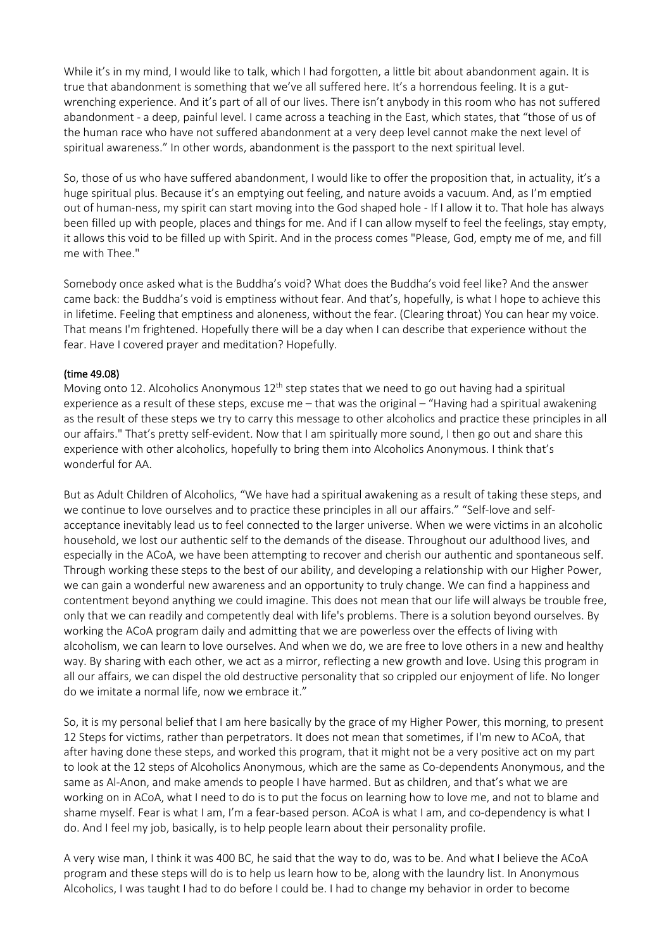While it's in my mind, I would like to talk, which I had forgotten, a little bit about abandonment again. It is true that abandonment is something that we've all suffered here. It's a horrendous feeling. It is a gutwrenching experience. And it's part of all of our lives. There isn't anybody in this room who has not suffered abandonment - a deep, painful level. I came across a teaching in the East, which states, that "those of us of the human race who have not suffered abandonment at a very deep level cannot make the next level of spiritual awareness." In other words, abandonment is the passport to the next spiritual level.

So, those of us who have suffered abandonment, I would like to offer the proposition that, in actuality, it's a huge spiritual plus. Because it's an emptying out feeling, and nature avoids a vacuum. And, as I'm emptied out of human-ness, my spirit can start moving into the God shaped hole - If I allow it to. That hole has always been filled up with people, places and things for me. And if I can allow myself to feel the feelings, stay empty, it allows this void to be filled up with Spirit. And in the process comes "Please, God, empty me of me, and fill me with Thee."

Somebody once asked what is the Buddha's void? What does the Buddha's void feel like? And the answer came back: the Buddha's void is emptiness without fear. And that's, hopefully, is what I hope to achieve this in lifetime. Feeling that emptiness and aloneness, without the fear. (Clearing throat) You can hear my voice. That means I'm frightened. Hopefully there will be a day when I can describe that experience without the fear. Have I covered prayer and meditation? Hopefully.

# (time 49.08)

Moving onto 12. Alcoholics Anonymous  $12<sup>th</sup>$  step states that we need to go out having had a spiritual experience as a result of these steps, excuse me – that was the original – "Having had a spiritual awakening as the result of these steps we try to carry this message to other alcoholics and practice these principles in all our affairs." That's pretty self-evident. Now that I am spiritually more sound, I then go out and share this experience with other alcoholics, hopefully to bring them into Alcoholics Anonymous. I think that's wonderful for AA.

But as Adult Children of Alcoholics, "We have had a spiritual awakening as a result of taking these steps, and we continue to love ourselves and to practice these principles in all our affairs." "Self-love and selfacceptance inevitably lead us to feel connected to the larger universe. When we were victims in an alcoholic household, we lost our authentic self to the demands of the disease. Throughout our adulthood lives, and especially in the ACoA, we have been attempting to recover and cherish our authentic and spontaneous self. Through working these steps to the best of our ability, and developing a relationship with our Higher Power, we can gain a wonderful new awareness and an opportunity to truly change. We can find a happiness and contentment beyond anything we could imagine. This does not mean that our life will always be trouble free, only that we can readily and competently deal with life's problems. There is a solution beyond ourselves. By working the ACoA program daily and admitting that we are powerless over the effects of living with alcoholism, we can learn to love ourselves. And when we do, we are free to love others in a new and healthy way. By sharing with each other, we act as a mirror, reflecting a new growth and love. Using this program in all our affairs, we can dispel the old destructive personality that so crippled our enjoyment of life. No longer do we imitate a normal life, now we embrace it."

So, it is my personal belief that I am here basically by the grace of my Higher Power, this morning, to present 12 Steps for victims, rather than perpetrators. It does not mean that sometimes, if I'm new to ACoA, that after having done these steps, and worked this program, that it might not be a very positive act on my part to look at the 12 steps of Alcoholics Anonymous, which are the same as Co-dependents Anonymous, and the same as Al-Anon, and make amends to people I have harmed. But as children, and that's what we are working on in ACoA, what I need to do is to put the focus on learning how to love me, and not to blame and shame myself. Fear is what I am, I'm a fear-based person. ACoA is what I am, and co-dependency is what I do. And I feel my job, basically, is to help people learn about their personality profile.

A very wise man, I think it was 400 BC, he said that the way to do, was to be. And what I believe the ACoA program and these steps will do is to help us learn how to be, along with the laundry list. In Anonymous Alcoholics, I was taught I had to do before I could be. I had to change my behavior in order to become